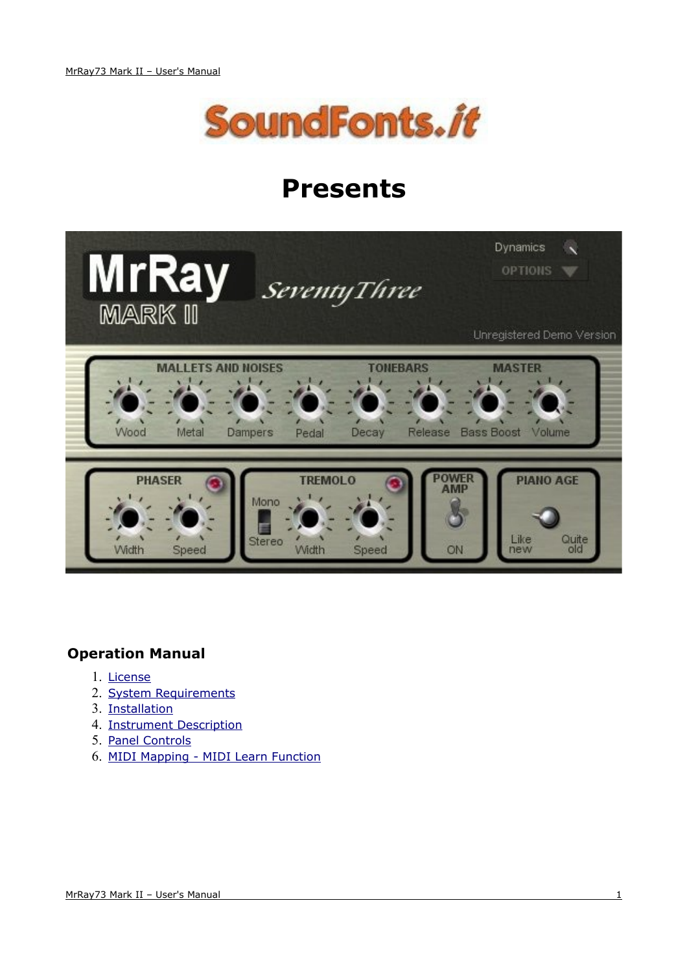

# **Presents**



### **Operation Manual**

- <span id="page-0-5"></span><span id="page-0-0"></span>1. [License](#page-0-0)
- 2. [System Requirements](#page-0-5)
- <span id="page-0-4"></span>3. [Installation](#page-0-4)
- <span id="page-0-3"></span>4. [Instrument Description](#page-0-3)
- <span id="page-0-2"></span>5. [Panel Controls](#page-0-2)
- <span id="page-0-1"></span>6. [MIDI Mapping - MIDI Learn Function](#page-0-1)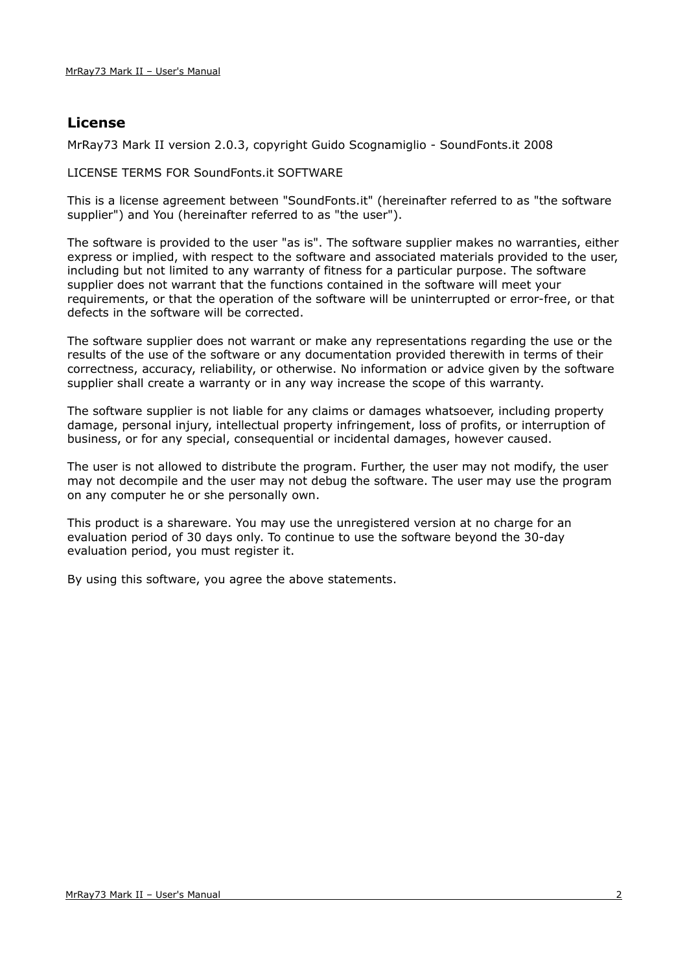## **License**

MrRay73 Mark II version 2.0.3, copyright Guido Scognamiglio - SoundFonts.it 2008

LICENSE TERMS FOR SoundFonts.it SOFTWARE

This is a license agreement between "SoundFonts.it" (hereinafter referred to as "the software supplier") and You (hereinafter referred to as "the user").

The software is provided to the user "as is". The software supplier makes no warranties, either express or implied, with respect to the software and associated materials provided to the user, including but not limited to any warranty of fitness for a particular purpose. The software supplier does not warrant that the functions contained in the software will meet your requirements, or that the operation of the software will be uninterrupted or error-free, or that defects in the software will be corrected.

The software supplier does not warrant or make any representations regarding the use or the results of the use of the software or any documentation provided therewith in terms of their correctness, accuracy, reliability, or otherwise. No information or advice given by the software supplier shall create a warranty or in any way increase the scope of this warranty.

The software supplier is not liable for any claims or damages whatsoever, including property damage, personal injury, intellectual property infringement, loss of profits, or interruption of business, or for any special, consequential or incidental damages, however caused.

The user is not allowed to distribute the program. Further, the user may not modify, the user may not decompile and the user may not debug the software. The user may use the program on any computer he or she personally own.

This product is a shareware. You may use the unregistered version at no charge for an evaluation period of 30 days only. To continue to use the software beyond the 30-day evaluation period, you must register it.

By using this software, you agree the above statements.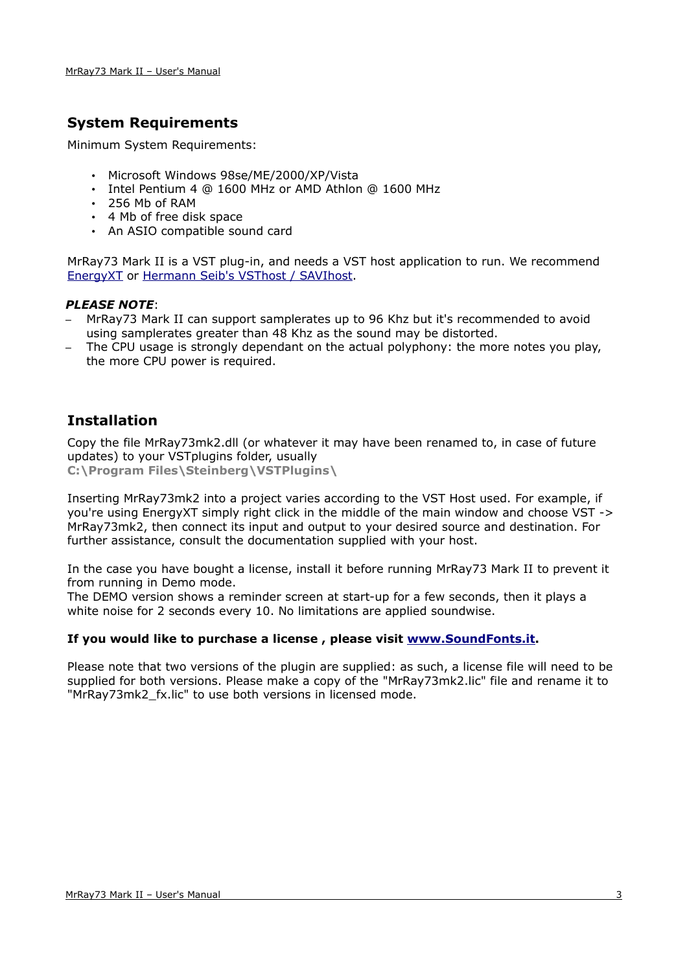## **System Requirements**

Minimum System Requirements:

- Microsoft Windows 98se/ME/2000/XP/Vista
- Intel Pentium 4 @ 1600 MHz or AMD Athlon @ 1600 MHz
- 256 Mb of RAM
- 4 Mb of free disk space
- An ASIO compatible sound card

MrRay73 Mark II is a VST plug-in, and needs a VST host application to run. We recommend [EnergyXT](http://www.energy-xt.com/) or [Hermann Seib's VSThost / SAVIhost.](http://www.hermannseib.com/english/vsthost.htm)

#### *PLEASE NOTE*:

- MrRay73 Mark II can support samplerates up to 96 Khz but it's recommended to avoid using samplerates greater than 48 Khz as the sound may be distorted.
- The CPU usage is strongly dependant on the actual polyphony: the more notes you play, the more CPU power is required.

## **Installation**

Copy the file MrRay73mk2.dll (or whatever it may have been renamed to, in case of future updates) to your VSTplugins folder, usually **C:\Program Files\Steinberg\VSTPlugins\**

Inserting MrRay73mk2 into a project varies according to the VST Host used. For example, if you're using EnergyXT simply right click in the middle of the main window and choose VST -> MrRay73mk2, then connect its input and output to your desired source and destination. For further assistance, consult the documentation supplied with your host.

In the case you have bought a license, install it before running MrRay73 Mark II to prevent it from running in Demo mode.

The DEMO version shows a reminder screen at start-up for a few seconds, then it plays a white noise for 2 seconds every 10. No limitations are applied soundwise.

#### **If you would like to purchase a license , please visit [www.SoundFonts.it.](http://www.soundfonts.it/)**

Please note that two versions of the plugin are supplied: as such, a license file will need to be supplied for both versions. Please make a copy of the "MrRay73mk2.lic" file and rename it to "MrRay73mk2 fx.lic" to use both versions in licensed mode.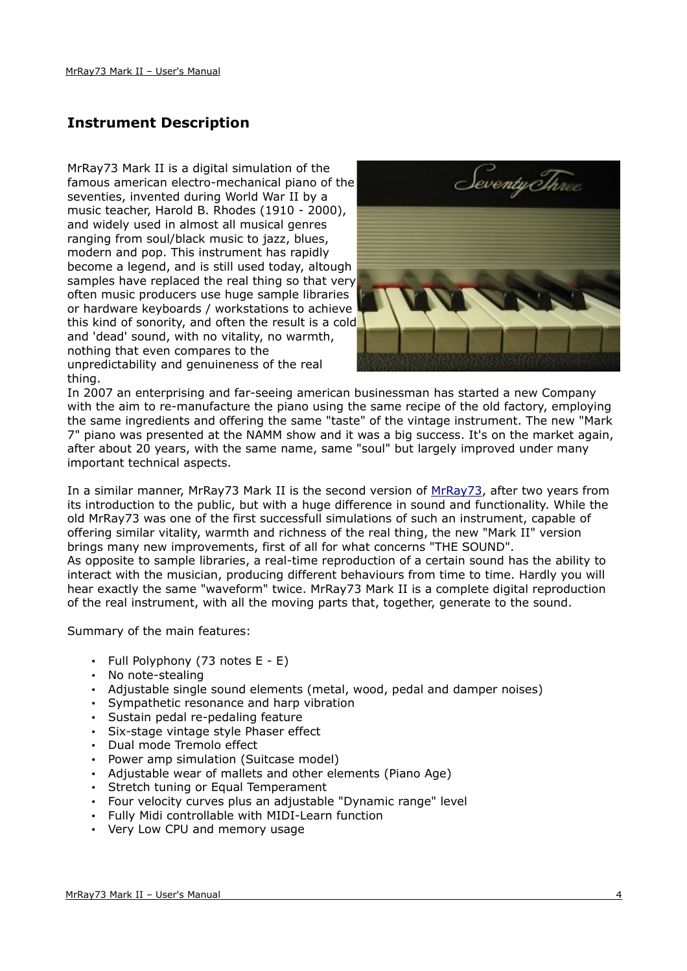# **Instrument Description**

MrRay73 Mark II is a digital simulation of the famous american electro-mechanical piano of the seventies, invented during World War II by a music teacher, Harold B. Rhodes (1910 - 2000), and widely used in almost all musical genres ranging from soul/black music to jazz, blues, modern and pop. This instrument has rapidly become a legend, and is still used today, altough samples have replaced the real thing so that very often music producers use huge sample libraries or hardware keyboards / workstations to achieve this kind of sonority, and often the result is a cold and 'dead' sound, with no vitality, no warmth, nothing that even compares to the unpredictability and genuineness of the real thing.



In 2007 an enterprising and far-seeing american businessman has started a new Company with the aim to re-manufacture the piano using the same recipe of the old factory, employing the same ingredients and offering the same "taste" of the vintage instrument. The new "Mark 7" piano was presented at the NAMM show and it was a big success. It's on the market again, after about 20 years, with the same name, same "soul" but largely improved under many important technical aspects.

In a similar manner, MrRay73 Mark II is the second version of [MrRay73,](http://www.soundfonts.it/?a=read&b=18) after two years from its introduction to the public, but with a huge difference in sound and functionality. While the old MrRay73 was one of the first successfull simulations of such an instrument, capable of offering similar vitality, warmth and richness of the real thing, the new "Mark II" version brings many new improvements, first of all for what concerns "THE SOUND". As opposite to sample libraries, a real-time reproduction of a certain sound has the ability to interact with the musician, producing different behaviours from time to time. Hardly you will hear exactly the same "waveform" twice. MrRay73 Mark II is a complete digital reproduction of the real instrument, with all the moving parts that, together, generate to the sound.

Summary of the main features:

- Full Polyphony (73 notes E E)
- No note-stealing
- Adjustable single sound elements (metal, wood, pedal and damper noises)
- Sympathetic resonance and harp vibration
- Sustain pedal re-pedaling feature
- Six-stage vintage style Phaser effect
- Dual mode Tremolo effect
- Power amp simulation (Suitcase model)
- Adjustable wear of mallets and other elements (Piano Age)
- Stretch tuning or Equal Temperament
- Four velocity curves plus an adjustable "Dynamic range" level
- Fully Midi controllable with MIDI-Learn function
- Very Low CPU and memory usage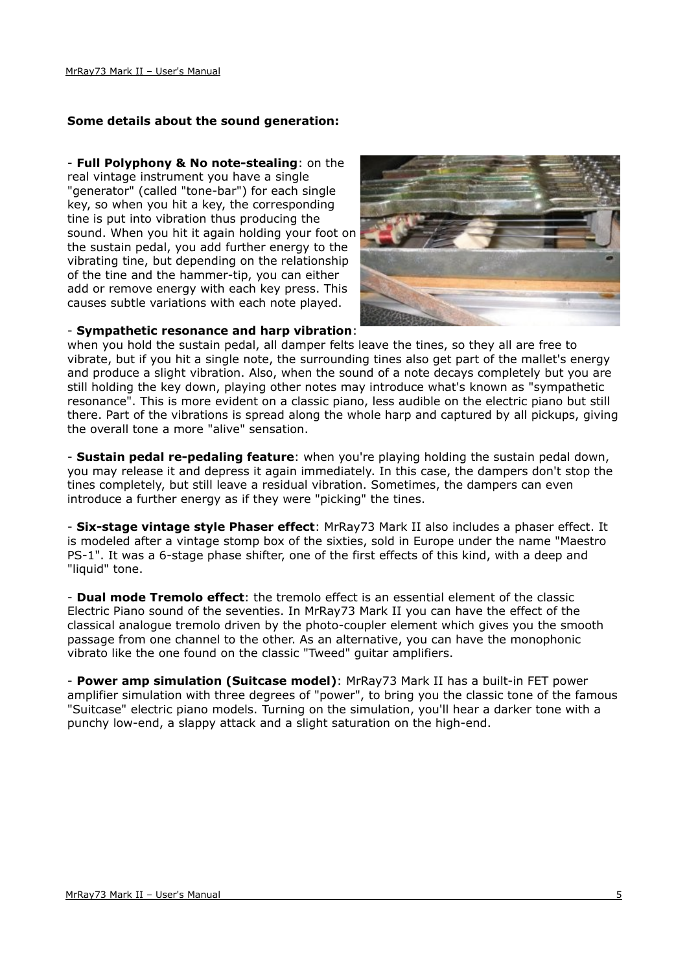#### **Some details about the sound generation:**

#### - **Full Polyphony & No note-stealing**: on the

real vintage instrument you have a single "generator" (called "tone-bar") for each single key, so when you hit a key, the corresponding tine is put into vibration thus producing the sound. When you hit it again holding your foot on the sustain pedal, you add further energy to the vibrating tine, but depending on the relationship of the tine and the hammer-tip, you can either add or remove energy with each key press. This causes subtle variations with each note played.



#### - **Sympathetic resonance and harp vibration**:

when you hold the sustain pedal, all damper felts leave the tines, so they all are free to vibrate, but if you hit a single note, the surrounding tines also get part of the mallet's energy and produce a slight vibration. Also, when the sound of a note decays completely but you are still holding the key down, playing other notes may introduce what's known as "sympathetic resonance". This is more evident on a classic piano, less audible on the electric piano but still there. Part of the vibrations is spread along the whole harp and captured by all pickups, giving the overall tone a more "alive" sensation.

- **Sustain pedal re-pedaling feature**: when you're playing holding the sustain pedal down, you may release it and depress it again immediately. In this case, the dampers don't stop the tines completely, but still leave a residual vibration. Sometimes, the dampers can even introduce a further energy as if they were "picking" the tines.

- **Six-stage vintage style Phaser effect**: MrRay73 Mark II also includes a phaser effect. It is modeled after a vintage stomp box of the sixties, sold in Europe under the name "Maestro PS-1". It was a 6-stage phase shifter, one of the first effects of this kind, with a deep and "liquid" tone.

- **Dual mode Tremolo effect**: the tremolo effect is an essential element of the classic Electric Piano sound of the seventies. In MrRay73 Mark II you can have the effect of the classical analogue tremolo driven by the photo-coupler element which gives you the smooth passage from one channel to the other. As an alternative, you can have the monophonic vibrato like the one found on the classic "Tweed" guitar amplifiers.

- **Power amp simulation (Suitcase model)**: MrRay73 Mark II has a built-in FET power amplifier simulation with three degrees of "power", to bring you the classic tone of the famous "Suitcase" electric piano models. Turning on the simulation, you'll hear a darker tone with a punchy low-end, a slappy attack and a slight saturation on the high-end.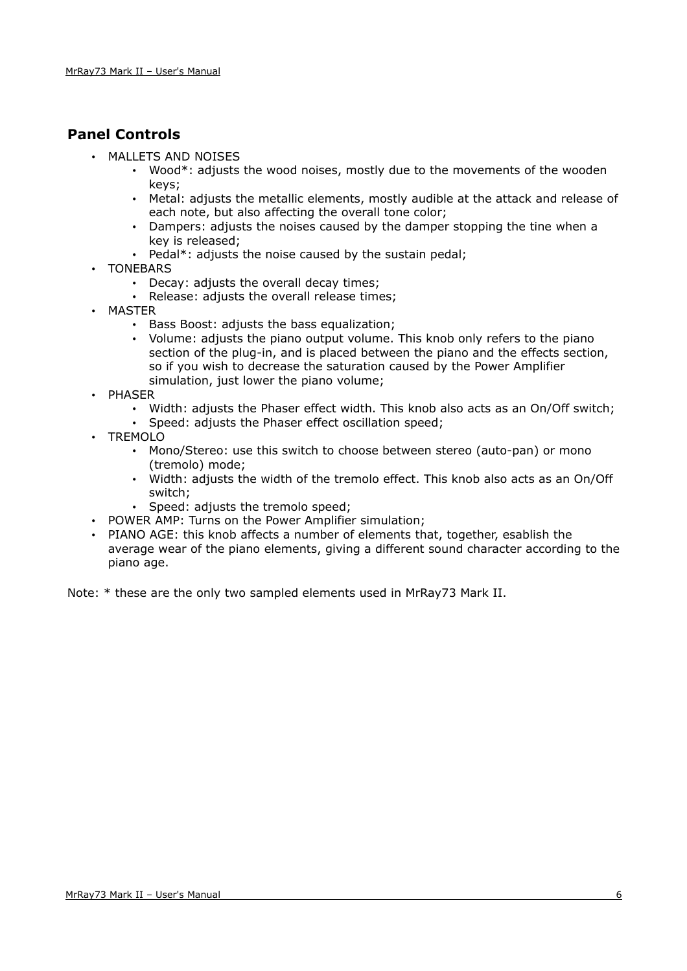# **Panel Controls**

- MALLETS AND NOISES
	- Wood\*: adjusts the wood noises, mostly due to the movements of the wooden keys;
	- Metal: adjusts the metallic elements, mostly audible at the attack and release of each note, but also affecting the overall tone color;
	- Dampers: adjusts the noises caused by the damper stopping the tine when a key is released;
	- Pedal\*: adjusts the noise caused by the sustain pedal;
- TONEBARS
	- Decay: adjusts the overall decay times;
	- Release: adjusts the overall release times;
- MASTER
	- Bass Boost: adjusts the bass equalization;
	- Volume: adjusts the piano output volume. This knob only refers to the piano section of the plug-in, and is placed between the piano and the effects section, so if you wish to decrease the saturation caused by the Power Amplifier simulation, just lower the piano volume;
- PHASER
	- Width: adjusts the Phaser effect width. This knob also acts as an On/Off switch;
	- Speed: adjusts the Phaser effect oscillation speed;
- TREMOLO
	- Mono/Stereo: use this switch to choose between stereo (auto-pan) or mono (tremolo) mode;
	- Width: adjusts the width of the tremolo effect. This knob also acts as an On/Off switch;
	- Speed: adjusts the tremolo speed;
- POWER AMP: Turns on the Power Amplifier simulation;
- PIANO AGE: this knob affects a number of elements that, together, esablish the average wear of the piano elements, giving a different sound character according to the piano age.

Note: \* these are the only two sampled elements used in MrRay73 Mark II.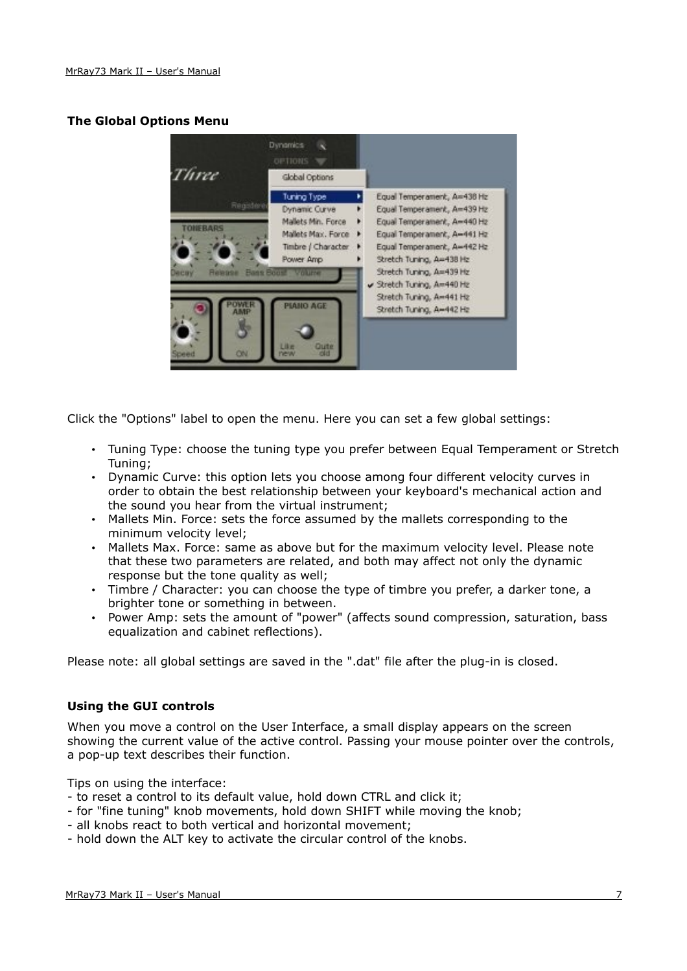#### **The Global Options Menu**



Click the "Options" label to open the menu. Here you can set a few global settings:

- Tuning Type: choose the tuning type you prefer between Equal Temperament or Stretch Tuning;
- Dynamic Curve: this option lets you choose among four different velocity curves in order to obtain the best relationship between your keyboard's mechanical action and the sound you hear from the virtual instrument;
- Mallets Min. Force: sets the force assumed by the mallets corresponding to the minimum velocity level;
- Mallets Max. Force: same as above but for the maximum velocity level. Please note that these two parameters are related, and both may affect not only the dynamic response but the tone quality as well;
- Timbre / Character: you can choose the type of timbre you prefer, a darker tone, a brighter tone or something in between.
- Power Amp: sets the amount of "power" (affects sound compression, saturation, bass equalization and cabinet reflections).

Please note: all global settings are saved in the ".dat" file after the plug-in is closed.

#### **Using the GUI controls**

When you move a control on the User Interface, a small display appears on the screen showing the current value of the active control. Passing your mouse pointer over the controls, a pop-up text describes their function.

Tips on using the interface:

- to reset a control to its default value, hold down CTRL and click it;
- for "fine tuning" knob movements, hold down SHIFT while moving the knob;
- all knobs react to both vertical and horizontal movement;
- hold down the ALT key to activate the circular control of the knobs.